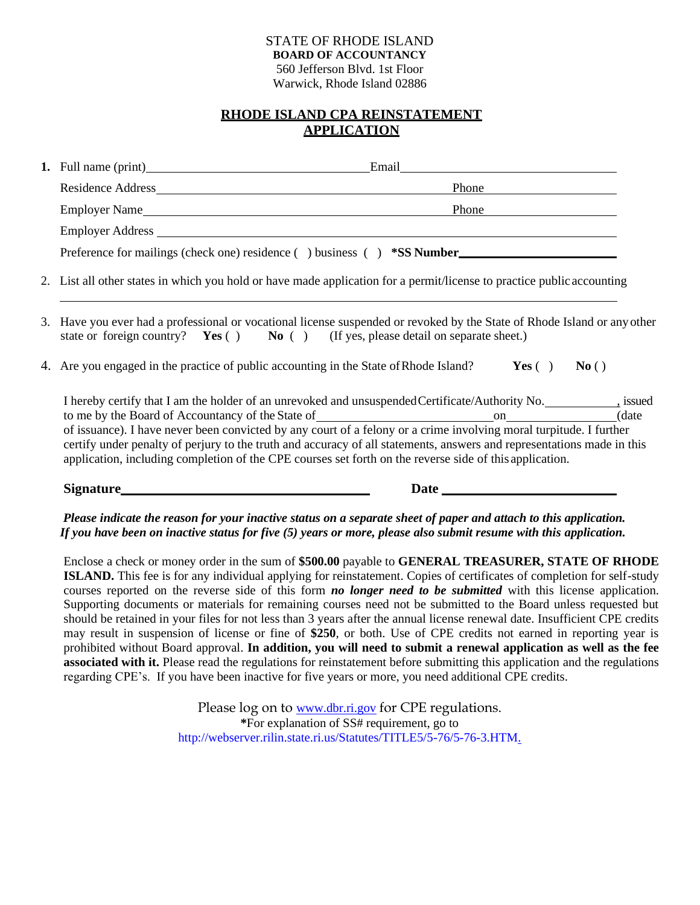### STATE OF RHODE ISLAND **BOARD OF ACCOUNTANCY** 560 Jefferson Blvd. 1st Floor Warwick, Rhode Island 02886

## **RHODE ISLAND CPA REINSTATEMENT APPLICATION**

|                                                                                                                                                                                                                                                                                                                                                                                                                                                                                                                                                                                                                                                                                                                      | <b>Phone</b> |
|----------------------------------------------------------------------------------------------------------------------------------------------------------------------------------------------------------------------------------------------------------------------------------------------------------------------------------------------------------------------------------------------------------------------------------------------------------------------------------------------------------------------------------------------------------------------------------------------------------------------------------------------------------------------------------------------------------------------|--------------|
| Employer Name                                                                                                                                                                                                                                                                                                                                                                                                                                                                                                                                                                                                                                                                                                        | <b>Phone</b> |
|                                                                                                                                                                                                                                                                                                                                                                                                                                                                                                                                                                                                                                                                                                                      |              |
|                                                                                                                                                                                                                                                                                                                                                                                                                                                                                                                                                                                                                                                                                                                      |              |
| 2. List all other states in which you hold or have made application for a permit/license to practice public accounting                                                                                                                                                                                                                                                                                                                                                                                                                                                                                                                                                                                               |              |
| 3. Have you ever had a professional or vocational license suspended or revoked by the State of Rhode Island or any other<br>state or foreign country? <b>Yes</b> $( )$ <b>No</b> $( )$ (If yes, please detail on separate sheet.)                                                                                                                                                                                                                                                                                                                                                                                                                                                                                    |              |
| 4. Are you engaged in the practice of public accounting in the State of Rhode Island? <b>Yes</b> () No ()                                                                                                                                                                                                                                                                                                                                                                                                                                                                                                                                                                                                            |              |
| I hereby certify that I am the holder of an unrevoked and unsuspended Certificate/Authority No. _____________, issued<br>of issuance). I have never been convicted by any court of a felony or a crime involving moral turpitude. I further<br>certify under penalty of perjury to the truth and accuracy of all statements, answers and representations made in this<br>application, including completion of the CPE courses set forth on the reverse side of this application.                                                                                                                                                                                                                                     |              |
|                                                                                                                                                                                                                                                                                                                                                                                                                                                                                                                                                                                                                                                                                                                      |              |
| Please indicate the reason for your inactive status on a separate sheet of paper and attach to this application.<br>If you have been on inactive status for five $(5)$ years or more, please also submit resume with this application.                                                                                                                                                                                                                                                                                                                                                                                                                                                                               |              |
| Enclose a check or money order in the sum of \$500.00 payable to GENERAL TREASURER, STATE OF RHODE<br>ISLAND. This fee is for any individual applying for reinstatement. Copies of certificates of completion for self-study<br>courses reported on the reverse side of this form no longer need to be submitted with this license application.<br>Supporting documents or materials for remaining courses need not be submitted to the Board unless requested but<br>should be retained in your files for not less than 3 years after the annual license renewal date. Insufficient CPE credits<br>may result in suspension of license or fine of \$250 or both. Use of CPE credits not earned in reporting year is |              |

may result in suspension of license or fine of **\$250**, or both. Use of CPE credits not earned in reporting year is prohibited without Board approval. **In addition, you will need to submit a renewal application as well as the fee associated with it.** Please read the regulations for reinstatement before submitting this application and the regulations regarding CPE's. If you have been inactive for five years or more, you need additional CPE credits.

> Please log on to [www.dbr.ri.gov](http://www.dbr.ri.gov/) for CPE regulations. **\***For explanation of SS# requirement, go to [http://webserver.rilin.state.ri.us/Statutes/TITLE5/5-76/5-76-3.HTM.](http://webserver.rilin.state.ri.us/Statutes/TITLE5/5-76/5-76-3.HTM)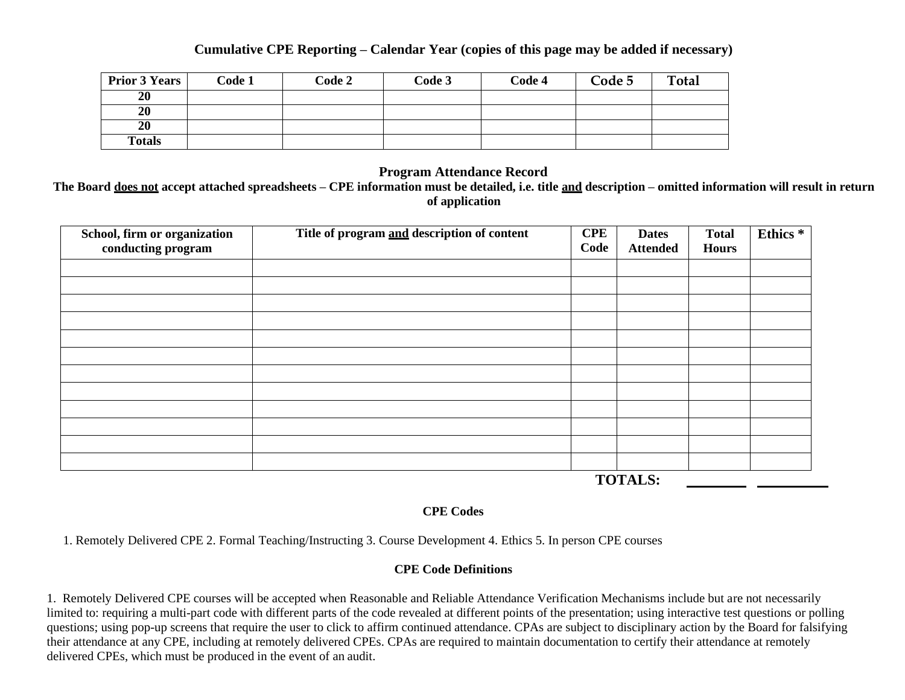## **Cumulative CPE Reporting – Calendar Year (copies of this page may be added if necessary)**

| <b>Prior 3 Years</b> | Code 1 | Code 2 | Code 3 | Code 4 | Code 5 | <b>Total</b> |
|----------------------|--------|--------|--------|--------|--------|--------------|
| 20                   |        |        |        |        |        |              |
| 20                   |        |        |        |        |        |              |
| 20                   |        |        |        |        |        |              |
| <b>Totals</b>        |        |        |        |        |        |              |

## **Program Attendance Record**

**The Board does not accept attached spreadsheets – CPE information must be detailed, i.e. title and description – omitted information will result in return of application**

| School, firm or organization<br>conducting program | Title of program and description of content | <b>CPE</b><br>Code | <b>Dates</b><br><b>Attended</b> | <b>Total</b><br><b>Hours</b> | Ethics <sup>*</sup> |
|----------------------------------------------------|---------------------------------------------|--------------------|---------------------------------|------------------------------|---------------------|
|                                                    |                                             |                    |                                 |                              |                     |
|                                                    |                                             |                    |                                 |                              |                     |
|                                                    |                                             |                    |                                 |                              |                     |
|                                                    |                                             |                    |                                 |                              |                     |
|                                                    |                                             |                    |                                 |                              |                     |
|                                                    |                                             |                    |                                 |                              |                     |
|                                                    |                                             |                    |                                 |                              |                     |
|                                                    |                                             |                    |                                 |                              |                     |
|                                                    |                                             |                    |                                 |                              |                     |
|                                                    |                                             |                    |                                 |                              |                     |
|                                                    |                                             |                    |                                 |                              |                     |
|                                                    |                                             |                    |                                 |                              |                     |
|                                                    |                                             |                    | <b>TOTALS:</b>                  |                              |                     |

## **CPE Codes**

1. Remotely Delivered CPE 2. Formal Teaching/Instructing 3. Course Development 4. Ethics 5. In person CPE courses

## **CPE Code Definitions**

1. Remotely Delivered CPE courses will be accepted when Reasonable and Reliable Attendance Verification Mechanisms include but are not necessarily limited to: requiring a multi-part code with different parts of the code revealed at different points of the presentation; using interactive test questions or polling questions; using pop-up screens that require the user to click to affirm continued attendance. CPAs are subject to disciplinary action by the Board for falsifying their attendance at any CPE, including at remotely delivered CPEs. CPAs are required to maintain documentation to certify their attendance at remotely delivered CPEs, which must be produced in the event of an audit.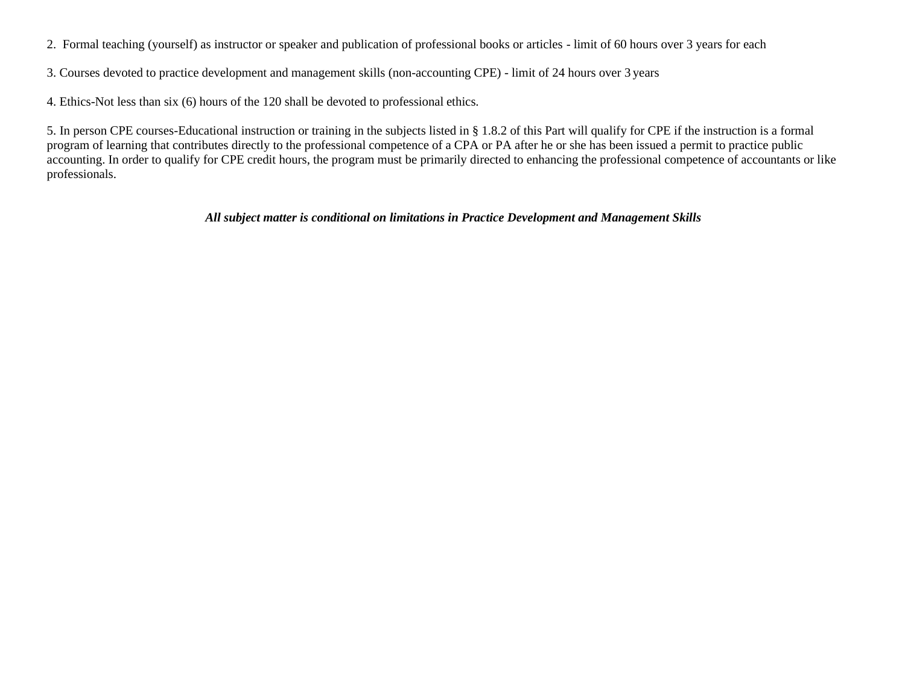- 2. Formal teaching (yourself) as instructor or speaker and publication of professional books or articles limit of 60 hours over 3 years for each
- 3. Courses devoted to practice development and management skills (non-accounting CPE) limit of 24 hours over 3 years
- 4. Ethics-Not less than six (6) hours of the 120 shall be devoted to professional ethics.

5. In person CPE courses-Educational instruction or training in the subjects listed in § 1.8.2 of this Part will qualify for CPE if the instruction is a formal program of learning that contributes directly to the professional competence of a CPA or PA after he or she has been issued a permit to practice public accounting. In order to qualify for CPE credit hours, the program must be primarily directed to enhancing the professional competence of accountants or like professionals.

## *All subject matter is conditional on limitations in Practice Development and Management Skills*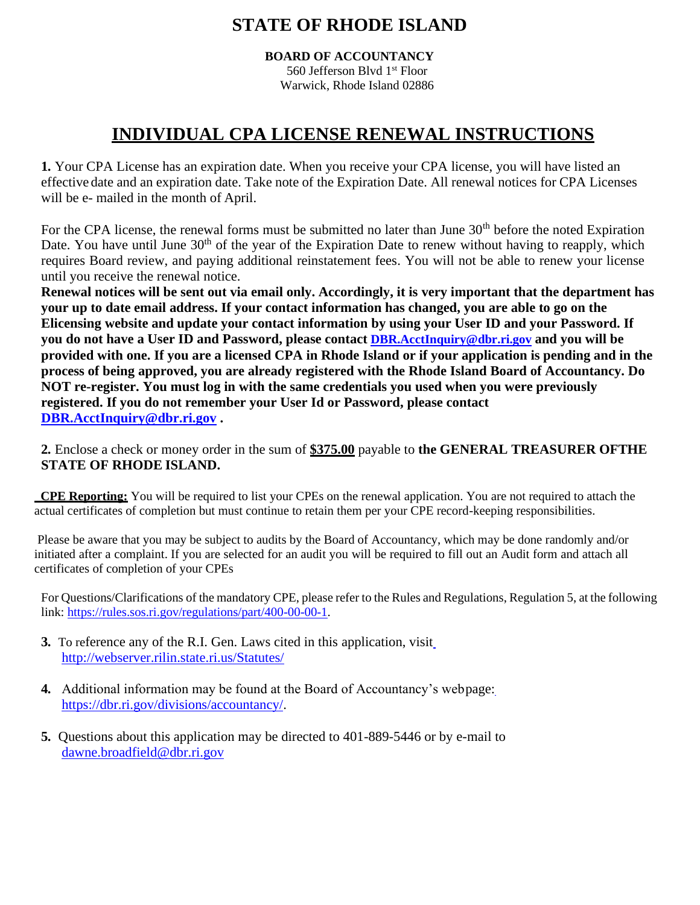# **STATE OF RHODE ISLAND**

**BOARD OF ACCOUNTANCY** 560 Jefferson Blvd 1st Floor

## Warwick, Rhode Island 02886

# **INDIVIDUAL CPA LICENSE RENEWAL INSTRUCTIONS**

**1.** Your CPA License has an expiration date. When you receive your CPA license, you will have listed an effective date and an expiration date. Take note of the Expiration Date. All renewal notices for CPA Licenses will be e- mailed in the month of April.

For the CPA license, the renewal forms must be submitted no later than June 30<sup>th</sup> before the noted Expiration Date. You have until June 30<sup>th</sup> of the year of the Expiration Date to renew without having to reapply, which requires Board review, and paying additional reinstatement fees. You will not be able to renew your license until you receive the renewal notice.

**Renewal notices will be sent out via email only. Accordingly, it is very important that the department has your up to date email address. If your contact information has changed, you are able to go on the Elicensing website and update your contact information by using your User ID and your Password. If you do not have a User ID and Password, please contact [DBR.AcctInquiry@dbr.ri.gov](mailto:DBR.AcctInquiry@dbr.ri.gov) and you will be provided with one. If you are a licensed CPA in Rhode Island or if your application is pending and in the process of being approved, you are already registered with the Rhode Island Board of Accountancy. Do NOT re-register. You must log in with the same credentials you used when you were previously registered. If you do not remember your User Id or Password, please contact [DBR.AcctInquiry@dbr.ri.gov](mailto:DBR.AcctInquiry@dbr.ri.gov) .**

**2.** Enclose a check or money order in the sum of **\$375.00** payable to **the GENERAL TREASURER OFTHE STATE OF RHODE ISLAND.**

 **CPE Reporting:** You will be required to list your CPEs on the renewal application. You are not required to attach the actual certificates of completion but must continue to retain them per your CPE record-keeping responsibilities.

Please be aware that you may be subject to audits by the Board of Accountancy, which may be done randomly and/or initiated after a complaint. If you are selected for an audit you will be required to fill out an Audit form and attach all certificates of completion of your CPEs

For Questions/Clarifications of the mandatory CPE, please refer to the Rules and Regulations, Regulation 5, at the following link: [https://rules.sos.ri.gov/regulations/part/400-00-00-1.](https://rules.sos.ri.gov/regulations/part/400-00-00-1)

- **3.** To reference any of the R.I. Gen. Laws cited in this application, visi[t](http://webserver.rilin.state.ri.us/Statutes/) <http://webserver.rilin.state.ri.us/Statutes/>
- **4.** Additional information may be found at the Board of Accountancy's webpage: [https://dbr.ri.gov/divisions/accountancy/.](https://dbr.ri.gov/divisions/accountancy/)
- **5.** Questions about this application may be directed to 401-889-5446 or by e-mail to [dawne.broadfield@dbr.ri.gov](mailto:dawne.broadfield@dbr.ri.gov)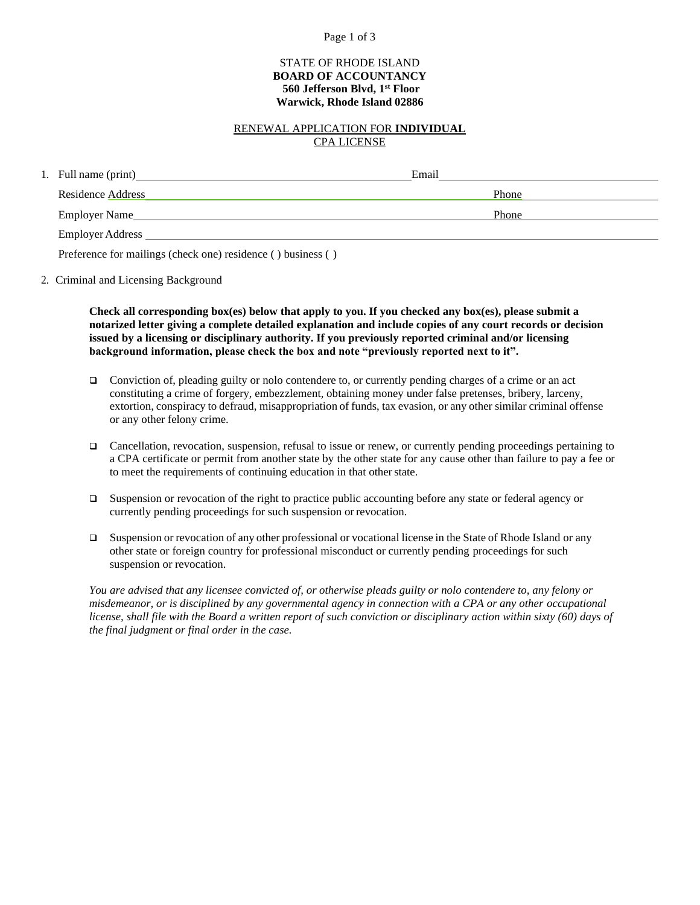#### Page 1 of 3

#### STATE OF RHODE ISLAND **BOARD OF ACCOUNTANCY 560 Jefferson Blvd, 1st Floor Warwick, Rhode Island 02886**

#### RENEWAL APPLICATION FOR **INDIVIDUAL** CPA LICENSE

| 1. Full name (print)     | Email |  |
|--------------------------|-------|--|
| <b>Residence Address</b> | Phone |  |
| Employer Name            | Phone |  |
| Employer Address         |       |  |

Preference for mailings (check one) residence ( ) business ( )

2. Criminal and Licensing Background

**Check all corresponding box(es) below that apply to you. If you checked any box(es), please submit a notarized letter giving a complete detailed explanation and include copies of any court records or decision issued by a licensing or disciplinary authority. If you previously reported criminal and/or licensing background information, please check the box and note "previously reported next to it".**

- Conviction of, pleading guilty or nolo contendere to, or currently pending charges of a crime or an act constituting a crime of forgery, embezzlement, obtaining money under false pretenses, bribery, larceny, extortion, conspiracy to defraud, misappropriation of funds, tax evasion, or any other similar criminal offense or any other felony crime.
- ❑ Cancellation, revocation, suspension, refusal to issue or renew, or currently pending proceedings pertaining to a CPA certificate or permit from another state by the other state for any cause other than failure to pay a fee or to meet the requirements of continuing education in that other state.
- ❑ Suspension or revocation of the right to practice public accounting before any state or federal agency or currently pending proceedings for such suspension or revocation.
- ❑ Suspension or revocation of any other professional or vocational license in the State of Rhode Island or any other state or foreign country for professional misconduct or currently pending proceedings for such suspension or revocation.

*You are advised that any licensee convicted of, or otherwise pleads guilty or nolo contendere to, any felony or misdemeanor, or is disciplined by any governmental agency in connection with a CPA or any other occupational license, shall file with the Board a written report of such conviction or disciplinary action within sixty (60) days of the final judgment or final order in the case.*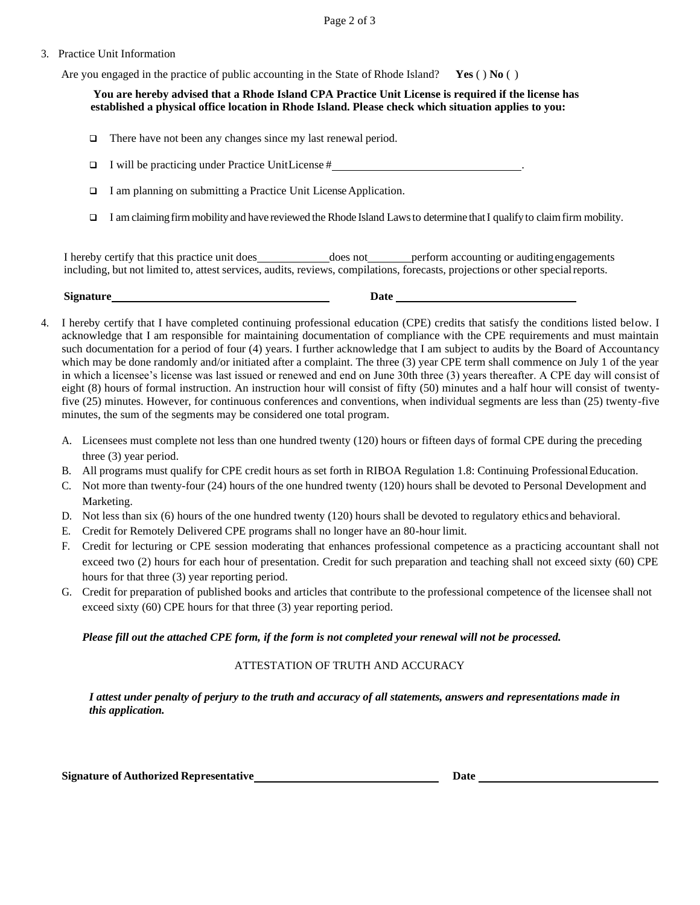Page 2 of 3

#### 3. Practice Unit Information

Are you engaged in the practice of public accounting in the State of Rhode Island? **Yes** ( ) **No** ( )

**You are hereby advised that a Rhode Island CPA Practice Unit License is required if the license has established a physical office location in Rhode Island. Please check which situation applies to you:**

❑ There have not been any changes since my last renewal period.

 $\Box$  I will be practicing under Practice UnitLicense #

- $\Box$  I am planning on submitting a Practice Unit License Application.
- $\Box$  I am claiming firm mobility and have reviewed the Rhode Island Laws to determine that I qualify to claim firm mobility.

I hereby certify that this practice unit does **does not** perform accounting or auditing engagements including, but not limited to, attest services, audits, reviews, compilations, forecasts, projections or other specialreports.

| <b>Signature</b> | --<br>Date<br>. |
|------------------|-----------------|
|                  |                 |

- 4. I hereby certify that I have completed continuing professional education (CPE) credits that satisfy the conditions listed below. I acknowledge that I am responsible for maintaining documentation of compliance with the CPE requirements and must maintain such documentation for a period of four (4) years. I further acknowledge that I am subject to audits by the Board of Accountancy which may be done randomly and/or initiated after a complaint. The three (3) year CPE term shall commence on July 1 of the year in which a licensee's license was last issued or renewed and end on June 30th three (3) years thereafter. A CPE day will consist of eight (8) hours of formal instruction. An instruction hour will consist of fifty (50) minutes and a half hour will consist of twentyfive (25) minutes. However, for continuous conferences and conventions, when individual segments are less than (25) twenty-five minutes, the sum of the segments may be considered one total program.
	- A. Licensees must complete not less than one hundred twenty (120) hours or fifteen days of formal CPE during the preceding three (3) year period.
	- B. All programs must qualify for CPE credit hours as set forth in RIBOA Regulation 1.8: Continuing ProfessionalEducation.
	- C. Not more than twenty-four (24) hours of the one hundred twenty (120) hours shall be devoted to Personal Development and Marketing.
	- D. Not less than six (6) hours of the one hundred twenty (120) hours shall be devoted to regulatory ethics and behavioral.
	- E. Credit for Remotely Delivered CPE programs shall no longer have an 80-hour limit.
	- F. Credit for lecturing or CPE session moderating that enhances professional competence as a practicing accountant shall not exceed two (2) hours for each hour of presentation. Credit for such preparation and teaching shall not exceed sixty (60) CPE hours for that three (3) year reporting period.
	- G. Credit for preparation of published books and articles that contribute to the professional competence of the licensee shall not exceed sixty (60) CPE hours for that three (3) year reporting period.

#### *Please fill out the attached CPE form, if the form is not completed your renewal will not be processed.*

### ATTESTATION OF TRUTH AND ACCURACY

*I attest under penalty of perjury to the truth and accuracy of all statements, answers and representations made in this application.*

**Signature of Authorized Representative Date**